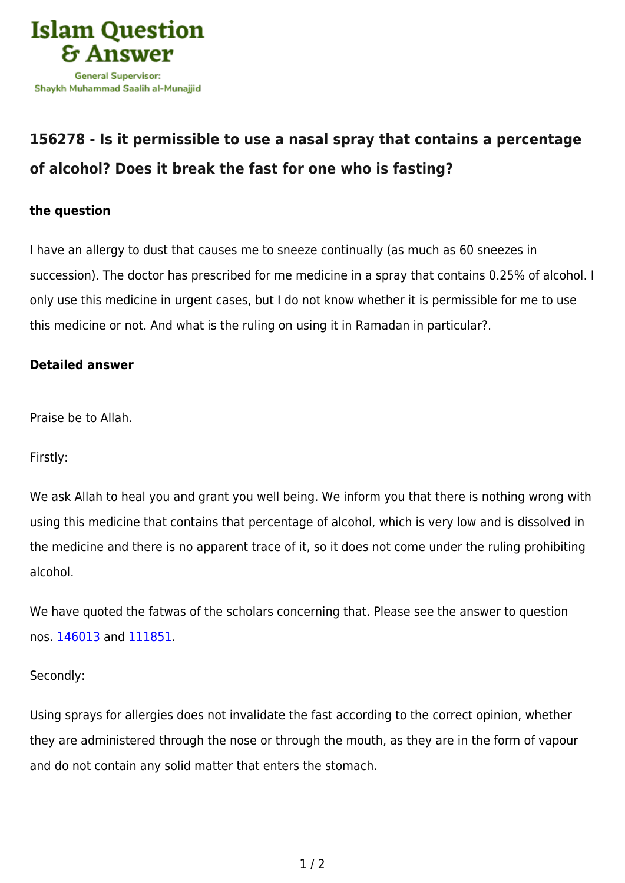

# **[156278 - Is it permissible to use a nasal spray that contains a percentage](https://islamqa.com/en/answers/156278/is-it-permissible-to-use-a-nasal-spray-that-contains-a-percentage-of-alcohol-does-it-break-the-fast-for-one-who-is-fasting) [of alcohol? Does it break the fast for one who is fasting?](https://islamqa.com/en/answers/156278/is-it-permissible-to-use-a-nasal-spray-that-contains-a-percentage-of-alcohol-does-it-break-the-fast-for-one-who-is-fasting)**

## **the question**

I have an allergy to dust that causes me to sneeze continually (as much as 60 sneezes in succession). The doctor has prescribed for me medicine in a spray that contains 0.25% of alcohol. I only use this medicine in urgent cases, but I do not know whether it is permissible for me to use this medicine or not. And what is the ruling on using it in Ramadan in particular?.

### **Detailed answer**

Praise be to Allah.

Firstly:

We ask Allah to heal you and grant you well being. We inform you that there is nothing wrong with using this medicine that contains that percentage of alcohol, which is very low and is dissolved in the medicine and there is no apparent trace of it, so it does not come under the ruling prohibiting alcohol.

We have quoted the fatwas of the scholars concerning that. Please see the answer to question nos. [146013](https://islamqa.com/ar/answers/) and [111851.](https://islamqa.com/ar/answers/)

#### Secondly:

Using sprays for allergies does not invalidate the fast according to the correct opinion, whether they are administered through the nose or through the mouth, as they are in the form of vapour and do not contain any solid matter that enters the stomach.